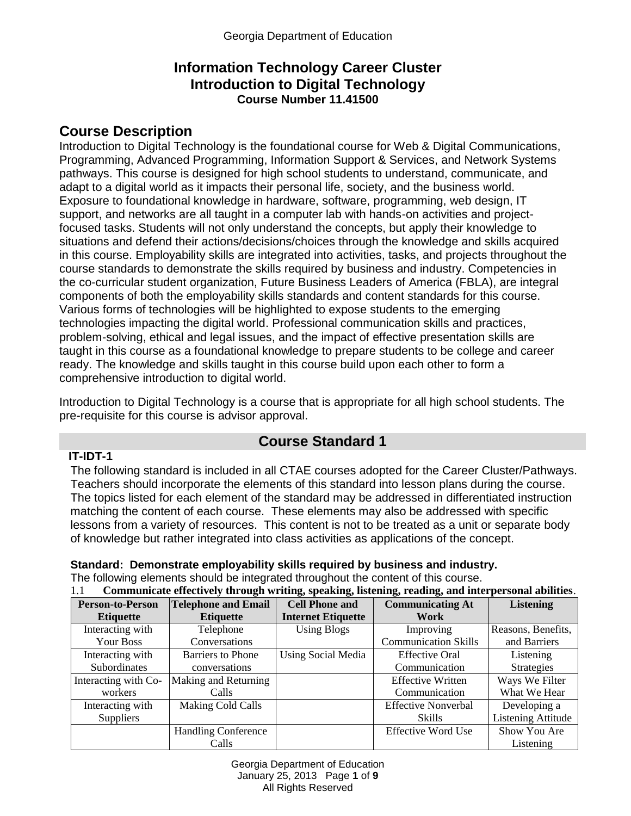### **Information Technology Career Cluster Introduction to Digital Technology Course Number 11.41500**

# **Course Description**

Introduction to Digital Technology is the foundational course for Web & Digital Communications, Programming, Advanced Programming, Information Support & Services, and Network Systems pathways. This course is designed for high school students to understand, communicate, and adapt to a digital world as it impacts their personal life, society, and the business world. Exposure to foundational knowledge in hardware, software, programming, web design, IT support, and networks are all taught in a computer lab with hands-on activities and projectfocused tasks. Students will not only understand the concepts, but apply their knowledge to situations and defend their actions/decisions/choices through the knowledge and skills acquired in this course. Employability skills are integrated into activities, tasks, and projects throughout the course standards to demonstrate the skills required by business and industry. Competencies in the co-curricular student organization, Future Business Leaders of America (FBLA), are integral components of both the employability skills standards and content standards for this course. Various forms of technologies will be highlighted to expose students to the emerging technologies impacting the digital world. Professional communication skills and practices, problem-solving, ethical and legal issues, and the impact of effective presentation skills are taught in this course as a foundational knowledge to prepare students to be college and career ready. The knowledge and skills taught in this course build upon each other to form a comprehensive introduction to digital world.

Introduction to Digital Technology is a course that is appropriate for all high school students. The pre-requisite for this course is advisor approval.

## **Course Standard 1**

#### **IT-IDT-1**

The following standard is included in all CTAE courses adopted for the Career Cluster/Pathways. Teachers should incorporate the elements of this standard into lesson plans during the course. The topics listed for each element of the standard may be addressed in differentiated instruction matching the content of each course. These elements may also be addressed with specific lessons from a variety of resources. This content is not to be treated as a unit or separate body of knowledge but rather integrated into class activities as applications of the concept.

**Standard: Demonstrate employability skills required by business and industry.** The following elements should be integrated throughout the content of this course. 1.1 **Communicate effectively through writing, speaking, listening, reading, and interpersonal abilities**.

| 1.1<br>Communicate effectively through writing, speaking, listening, reading, and interpersonal abilities. |                            |                           |                             |                           |
|------------------------------------------------------------------------------------------------------------|----------------------------|---------------------------|-----------------------------|---------------------------|
| <b>Person-to-Person</b>                                                                                    | <b>Telephone and Email</b> | <b>Cell Phone and</b>     | <b>Communicating At</b>     | <b>Listening</b>          |
| <b>Etiquette</b>                                                                                           | <b>Etiquette</b>           | <b>Internet Etiquette</b> | Work                        |                           |
| Interacting with                                                                                           | Telephone                  | <b>Using Blogs</b>        | Improving                   | Reasons, Benefits,        |
| Your Boss                                                                                                  | Conversations              |                           | <b>Communication Skills</b> | and Barriers              |
| Interacting with                                                                                           | <b>Barriers to Phone</b>   | <b>Using Social Media</b> | <b>Effective Oral</b>       | Listening                 |
| Subordinates                                                                                               | conversations              |                           | Communication               | <b>Strategies</b>         |
| Interacting with Co-                                                                                       | Making and Returning       |                           | <b>Effective Written</b>    | Ways We Filter            |
| workers                                                                                                    | Calls                      |                           | Communication               | What We Hear              |
| Interacting with                                                                                           | <b>Making Cold Calls</b>   |                           | <b>Effective Nonverbal</b>  | Developing a              |
| <b>Suppliers</b>                                                                                           |                            |                           | Skills                      | <b>Listening Attitude</b> |
|                                                                                                            | <b>Handling Conference</b> |                           | <b>Effective Word Use</b>   | Show You Are              |
|                                                                                                            | Calls                      |                           |                             | Listening                 |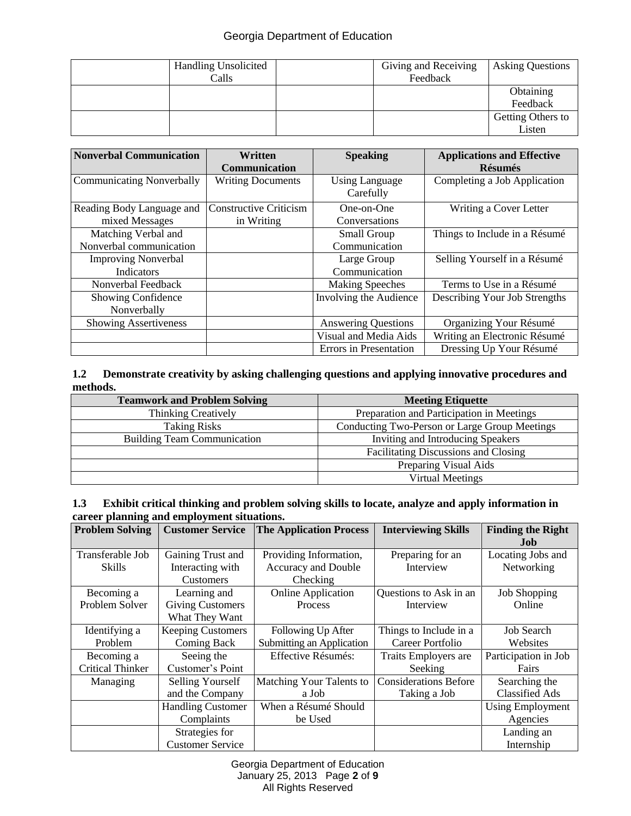#### Georgia Department of Education

| <b>Handling Unsolicited</b><br>Calls | Giving and Receiving<br>Feedback | <b>Asking Questions</b>     |
|--------------------------------------|----------------------------------|-----------------------------|
|                                      |                                  | Obtaining<br>Feedback       |
|                                      |                                  | Getting Others to<br>Listen |

| <b>Nonverbal Communication</b>                 | Written<br><b>Communication</b>             | <b>Speaking</b>                    | <b>Applications and Effective</b><br><b>Résumés</b> |
|------------------------------------------------|---------------------------------------------|------------------------------------|-----------------------------------------------------|
| <b>Communicating Nonverbally</b>               | <b>Writing Documents</b>                    | <b>Using Language</b><br>Carefully | Completing a Job Application                        |
| Reading Body Language and<br>mixed Messages    | <b>Constructive Criticism</b><br>in Writing | One-on-One<br>Conversations        | Writing a Cover Letter                              |
| Matching Verbal and<br>Nonverbal communication |                                             | Small Group<br>Communication       | Things to Include in a Résumé                       |
| <b>Improving Nonverbal</b><br>Indicators       |                                             | Large Group<br>Communication       | Selling Yourself in a Résumé                        |
| Nonverbal Feedback                             |                                             | <b>Making Speeches</b>             | Terms to Use in a Résumé                            |
| <b>Showing Confidence</b><br>Nonverbally       |                                             | Involving the Audience             | Describing Your Job Strengths                       |
| <b>Showing Assertiveness</b>                   |                                             | <b>Answering Questions</b>         | Organizing Your Résumé                              |
|                                                |                                             | Visual and Media Aids              | Writing an Electronic Résumé                        |
|                                                |                                             | Errors in Presentation             | Dressing Up Your Résumé                             |

#### **1.2 Demonstrate creativity by asking challenging questions and applying innovative procedures and methods.**

| <b>Teamwork and Problem Solving</b> | <b>Meeting Etiquette</b>                      |
|-------------------------------------|-----------------------------------------------|
| <b>Thinking Creatively</b>          | Preparation and Participation in Meetings     |
| <b>Taking Risks</b>                 | Conducting Two-Person or Large Group Meetings |
| <b>Building Team Communication</b>  | Inviting and Introducing Speakers             |
|                                     | Facilitating Discussions and Closing          |
|                                     | Preparing Visual Aids                         |
|                                     | <b>Virtual Meetings</b>                       |

#### **1.3 Exhibit critical thinking and problem solving skills to locate, analyze and apply information in career planning and employment situations.**

| <b>Problem Solving</b>  | <b>Customer Service</b>  | <b>The Application Process</b> | <b>Interviewing Skills</b>   | <b>Finding the Right</b><br>Job |
|-------------------------|--------------------------|--------------------------------|------------------------------|---------------------------------|
| Transferable Job        | Gaining Trust and        | Providing Information,         | Preparing for an             | Locating Jobs and               |
| Skills                  | Interacting with         | Accuracy and Double            | Interview                    | Networking                      |
|                         | <b>Customers</b>         | Checking                       |                              |                                 |
| Becoming a              | Learning and             | <b>Online Application</b>      | Questions to Ask in an       | <b>Job Shopping</b>             |
| Problem Solver          | <b>Giving Customers</b>  | Process                        | Interview                    | Online                          |
|                         | What They Want           |                                |                              |                                 |
| Identifying a           | <b>Keeping Customers</b> | Following Up After             | Things to Include in a       | <b>Job Search</b>               |
| Problem                 | Coming Back              | Submitting an Application      | Career Portfolio             | Websites                        |
| Becoming a              | Seeing the               | Effective Résumés:             | Traits Employers are         | Participation in Job            |
| <b>Critical Thinker</b> | Customer's Point         |                                | Seeking                      | Fairs                           |
| Managing                | <b>Selling Yourself</b>  | Matching Your Talents to       | <b>Considerations Before</b> | Searching the                   |
|                         | and the Company          | a Job                          | Taking a Job                 | <b>Classified Ads</b>           |
|                         | <b>Handling Customer</b> | When a Résumé Should           |                              | <b>Using Employment</b>         |
|                         | Complaints               | be Used                        |                              | Agencies                        |
|                         | Strategies for           |                                |                              | Landing an                      |
|                         | <b>Customer Service</b>  |                                |                              | Internship                      |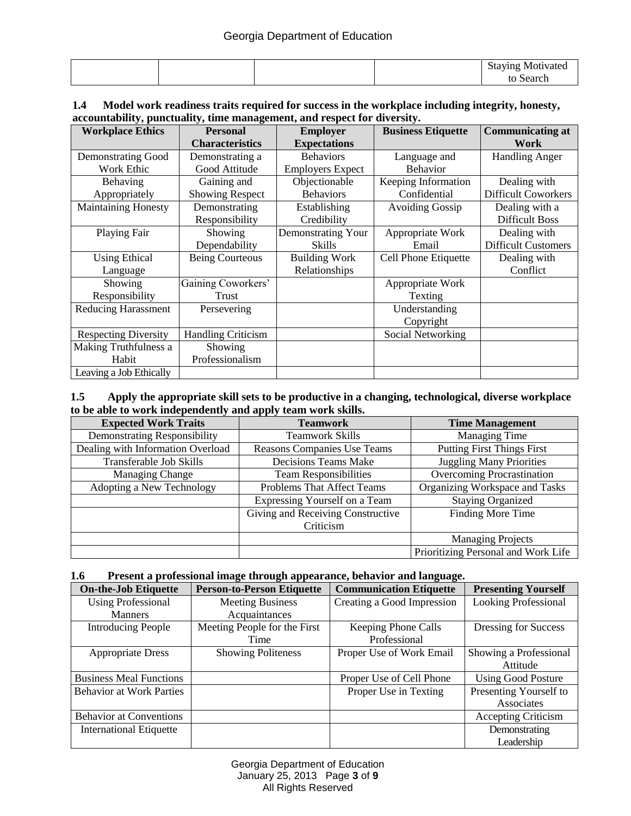|  |  | Staying Motivated |
|--|--|-------------------|
|  |  | Search            |

#### **1.4 Model work readiness traits required for success in the workplace including integrity, honesty, accountability, punctuality, time management, and respect for diversity.**

| <b>Workplace Ethics</b>     | <b>Personal</b>           | <b>Employer</b>         | <b>Business Etiquette</b> | <b>Communicating at</b>    |
|-----------------------------|---------------------------|-------------------------|---------------------------|----------------------------|
|                             | <b>Characteristics</b>    | <b>Expectations</b>     |                           | Work                       |
| Demonstrating Good          | Demonstrating a           | <b>Behaviors</b>        | Language and              | <b>Handling Anger</b>      |
| Work Ethic                  | Good Attitude             | <b>Employers Expect</b> | <b>Behavior</b>           |                            |
| Behaving                    | Gaining and               | Objectionable           | Keeping Information       | Dealing with               |
| Appropriately               | <b>Showing Respect</b>    | <b>Behaviors</b>        | Confidential              | <b>Difficult Coworkers</b> |
| <b>Maintaining Honesty</b>  | Demonstrating             | Establishing            | <b>Avoiding Gossip</b>    | Dealing with a             |
|                             | Responsibility            | Credibility             |                           | <b>Difficult Boss</b>      |
| Playing Fair                | Showing                   | Demonstrating Your      | Appropriate Work          | Dealing with               |
|                             | Dependability             | <b>Skills</b>           | Email                     | <b>Difficult Customers</b> |
| <b>Using Ethical</b>        | <b>Being Courteous</b>    | <b>Building Work</b>    | Cell Phone Etiquette      | Dealing with               |
| Language                    |                           | Relationships           |                           | Conflict                   |
| Showing                     | Gaining Coworkers'        |                         | Appropriate Work          |                            |
| Responsibility              | Trust                     |                         | Texting                   |                            |
| <b>Reducing Harassment</b>  | Persevering               |                         | Understanding             |                            |
|                             |                           |                         | Copyright                 |                            |
| <b>Respecting Diversity</b> | <b>Handling Criticism</b> |                         | Social Networking         |                            |
| Making Truthfulness a       | Showing                   |                         |                           |                            |
| Habit                       | Professionalism           |                         |                           |                            |
| Leaving a Job Ethically     |                           |                         |                           |                            |

#### **1.5 Apply the appropriate skill sets to be productive in a changing, technological, diverse workplace to be able to work independently and apply team work skills.**

| <b>Expected Work Traits</b>         | <b>Teamwork</b>                   | <b>Time Management</b>              |
|-------------------------------------|-----------------------------------|-------------------------------------|
| <b>Demonstrating Responsibility</b> | <b>Teamwork Skills</b>            | <b>Managing Time</b>                |
| Dealing with Information Overload   | Reasons Companies Use Teams       | <b>Putting First Things First</b>   |
| Transferable Job Skills             | <b>Decisions Teams Make</b>       | <b>Juggling Many Priorities</b>     |
| <b>Managing Change</b>              | <b>Team Responsibilities</b>      | Overcoming Procrastination          |
| Adopting a New Technology           | Problems That Affect Teams        | Organizing Workspace and Tasks      |
|                                     | Expressing Yourself on a Team     | <b>Staying Organized</b>            |
|                                     | Giving and Receiving Constructive | Finding More Time                   |
|                                     | Criticism                         |                                     |
|                                     |                                   | <b>Managing Projects</b>            |
|                                     |                                   | Prioritizing Personal and Work Life |

#### **1.6 Present a professional image through appearance, behavior and language.**

| <b>On-the-Job Etiquette</b>     | <b>Person-to-Person Etiquette</b> | <b>Communication Etiquette</b> | <b>Presenting Yourself</b>  |
|---------------------------------|-----------------------------------|--------------------------------|-----------------------------|
| <b>Using Professional</b>       | <b>Meeting Business</b>           | Creating a Good Impression     | <b>Looking Professional</b> |
| <b>Manners</b>                  | Acquaintances                     |                                |                             |
| <b>Introducing People</b>       | Meeting People for the First      | Keeping Phone Calls            | Dressing for Success        |
|                                 | Time                              | Professional                   |                             |
| <b>Appropriate Dress</b>        | <b>Showing Politeness</b>         | Proper Use of Work Email       | Showing a Professional      |
|                                 |                                   |                                | Attitude                    |
| <b>Business Meal Functions</b>  |                                   | Proper Use of Cell Phone       | <b>Using Good Posture</b>   |
| <b>Behavior at Work Parties</b> |                                   | Proper Use in Texting          | Presenting Yourself to      |
|                                 |                                   |                                | Associates                  |
| <b>Behavior at Conventions</b>  |                                   |                                | <b>Accepting Criticism</b>  |
| <b>International Etiquette</b>  |                                   |                                | Demonstrating               |
|                                 |                                   |                                | Leadership                  |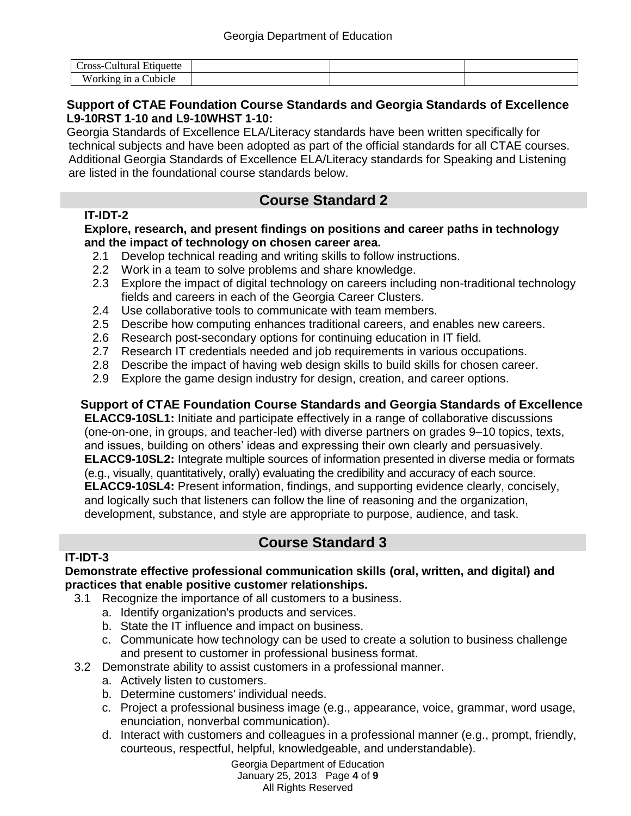| ست−ross−<br>Etiquette<br>auturat                                   |  |  |
|--------------------------------------------------------------------|--|--|
| XXZ.<br>'orking in a C<br>`ubicle<br>$\cdots$ since $\overline{a}$ |  |  |

#### **Support of CTAE Foundation Course Standards and Georgia Standards of Excellence L9-10RST 1-10 and L9-10WHST 1-10:**

Georgia Standards of Excellence ELA/Literacy standards have been written specifically for technical subjects and have been adopted as part of the official standards for all CTAE courses. Additional Georgia Standards of Excellence ELA/Literacy standards for Speaking and Listening are listed in the foundational course standards below.

## **Course Standard 2**

### **IT-IDT-2**

#### **Explore, research, and present findings on positions and career paths in technology and the impact of technology on chosen career area.**

- 2.1 Develop technical reading and writing skills to follow instructions.
- 2.2 Work in a team to solve problems and share knowledge.
- 2.3 Explore the impact of digital technology on careers including non-traditional technology fields and careers in each of the Georgia Career Clusters.
- 2.4 Use collaborative tools to communicate with team members.
- 2.5 Describe how computing enhances traditional careers, and enables new careers.
- 2.6 Research post-secondary options for continuing education in IT field.
- 2.7 Research IT credentials needed and job requirements in various occupations.
- 2.8 Describe the impact of having web design skills to build skills for chosen career.
- 2.9 Explore the game design industry for design, creation, and career options.

### **Support of CTAE Foundation Course Standards and Georgia Standards of Excellence**

**ELACC9-10SL1:** Initiate and participate effectively in a range of collaborative discussions (one-on-one, in groups, and teacher-led) with diverse partners on grades 9–10 topics, texts, and issues, building on others' ideas and expressing their own clearly and persuasively. **ELACC9-10SL2:** Integrate multiple sources of information presented in diverse media or formats (e.g., visually, quantitatively, orally) evaluating the credibility and accuracy of each source. **ELACC9-10SL4:** Present information, findings, and supporting evidence clearly, concisely, and logically such that listeners can follow the line of reasoning and the organization, development, substance, and style are appropriate to purpose, audience, and task.

## **Course Standard 3**

### **IT-IDT-3**

#### **Demonstrate effective professional communication skills (oral, written, and digital) and practices that enable positive customer relationships.**

- 3.1 Recognize the importance of all customers to a business.
	- a. Identify organization's products and services.
	- b. State the IT influence and impact on business.
	- c. Communicate how technology can be used to create a solution to business challenge and present to customer in professional business format.
- 3.2 Demonstrate ability to assist customers in a professional manner.
	- a. Actively listen to customers.
	- b. Determine customers' individual needs.
	- c. Project a professional business image (e.g., appearance, voice, grammar, word usage, enunciation, nonverbal communication).
	- d. Interact with customers and colleagues in a professional manner (e.g., prompt, friendly, courteous, respectful, helpful, knowledgeable, and understandable).

Georgia Department of Education January 25, 2013 Page **4** of **9** All Rights Reserved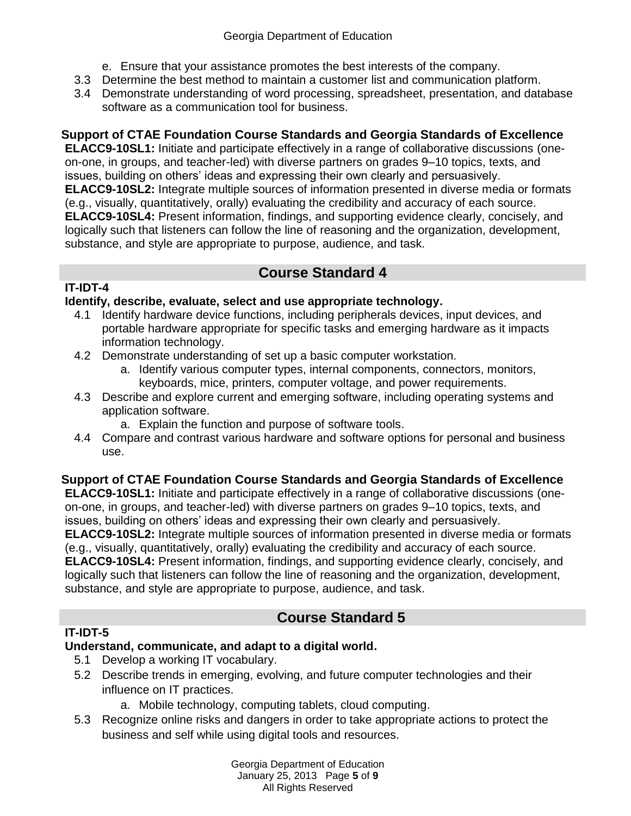- e. Ensure that your assistance promotes the best interests of the company.
- 3.3 Determine the best method to maintain a customer list and communication platform.
- 3.4 Demonstrate understanding of word processing, spreadsheet, presentation, and database software as a communication tool for business.

### **Support of CTAE Foundation Course Standards and Georgia Standards of Excellence**

**ELACC9-10SL1:** Initiate and participate effectively in a range of collaborative discussions (oneon-one, in groups, and teacher-led) with diverse partners on grades 9–10 topics, texts, and issues, building on others' ideas and expressing their own clearly and persuasively. **ELACC9-10SL2:** Integrate multiple sources of information presented in diverse media or formats (e.g., visually, quantitatively, orally) evaluating the credibility and accuracy of each source. **ELACC9-10SL4:** Present information, findings, and supporting evidence clearly, concisely, and logically such that listeners can follow the line of reasoning and the organization, development, substance, and style are appropriate to purpose, audience, and task.

### **Course Standard 4**

### **IT-IDT-4**

#### **Identify, describe, evaluate, select and use appropriate technology.**

- 4.1 Identify hardware device functions, including peripherals devices, input devices, and portable hardware appropriate for specific tasks and emerging hardware as it impacts information technology.
- 4.2 Demonstrate understanding of set up a basic computer workstation.
	- a. Identify various computer types, internal components, connectors, monitors, keyboards, mice, printers, computer voltage, and power requirements.
- 4.3 Describe and explore current and emerging software, including operating systems and application software.
	- a. Explain the function and purpose of software tools.
- 4.4 Compare and contrast various hardware and software options for personal and business use.

### **Support of CTAE Foundation Course Standards and Georgia Standards of Excellence**

**ELACC9-10SL1:** Initiate and participate effectively in a range of collaborative discussions (oneon-one, in groups, and teacher-led) with diverse partners on grades 9–10 topics, texts, and issues, building on others' ideas and expressing their own clearly and persuasively.

**ELACC9-10SL2:** Integrate multiple sources of information presented in diverse media or formats (e.g., visually, quantitatively, orally) evaluating the credibility and accuracy of each source.

**ELACC9-10SL4:** Present information, findings, and supporting evidence clearly, concisely, and logically such that listeners can follow the line of reasoning and the organization, development, substance, and style are appropriate to purpose, audience, and task.

## **Course Standard 5**

### **IT-IDT-5**

### **Understand, communicate, and adapt to a digital world.**

- 5.1 Develop a working IT vocabulary.
- 5.2 Describe trends in emerging, evolving, and future computer technologies and their influence on IT practices.
	- a. Mobile technology, computing tablets, cloud computing.
- 5.3 Recognize online risks and dangers in order to take appropriate actions to protect the business and self while using digital tools and resources.

Georgia Department of Education January 25, 2013 Page **5** of **9** All Rights Reserved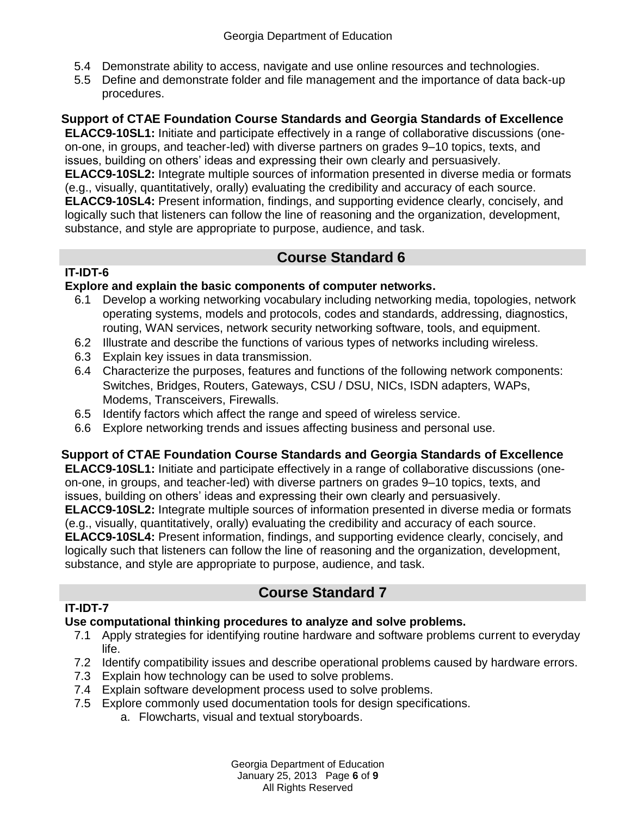- 5.4 Demonstrate ability to access, navigate and use online resources and technologies.
- 5.5 Define and demonstrate folder and file management and the importance of data back-up procedures.

### **Support of CTAE Foundation Course Standards and Georgia Standards of Excellence**

**ELACC9-10SL1:** Initiate and participate effectively in a range of collaborative discussions (oneon-one, in groups, and teacher-led) with diverse partners on grades 9–10 topics, texts, and issues, building on others' ideas and expressing their own clearly and persuasively. **ELACC9-10SL2:** Integrate multiple sources of information presented in diverse media or formats (e.g., visually, quantitatively, orally) evaluating the credibility and accuracy of each source. **ELACC9-10SL4:** Present information, findings, and supporting evidence clearly, concisely, and logically such that listeners can follow the line of reasoning and the organization, development, substance, and style are appropriate to purpose, audience, and task.

## **Course Standard 6**

### **IT-IDT-6**

### **Explore and explain the basic components of computer networks.**

- 6.1 Develop a working networking vocabulary including networking media, topologies, network operating systems, models and protocols, codes and standards, addressing, diagnostics, routing, WAN services, network security networking software, tools, and equipment.
- 6.2 Illustrate and describe the functions of various types of networks including wireless.
- 6.3 Explain key issues in data transmission.
- 6.4 Characterize the purposes, features and functions of the following network components: Switches, Bridges, Routers, Gateways, CSU / DSU, NICs, ISDN adapters, WAPs, Modems, Transceivers, Firewalls.
- 6.5 Identify factors which affect the range and speed of wireless service.
- 6.6 Explore networking trends and issues affecting business and personal use.

### **Support of CTAE Foundation Course Standards and Georgia Standards of Excellence**

**ELACC9-10SL1:** Initiate and participate effectively in a range of collaborative discussions (oneon-one, in groups, and teacher-led) with diverse partners on grades 9–10 topics, texts, and issues, building on others' ideas and expressing their own clearly and persuasively.

**ELACC9-10SL2:** Integrate multiple sources of information presented in diverse media or formats (e.g., visually, quantitatively, orally) evaluating the credibility and accuracy of each source. **ELACC9-10SL4:** Present information, findings, and supporting evidence clearly, concisely, and

logically such that listeners can follow the line of reasoning and the organization, development, substance, and style are appropriate to purpose, audience, and task.

## **Course Standard 7**

### **IT-IDT-7**

### **Use computational thinking procedures to analyze and solve problems.**

- 7.1 Apply strategies for identifying routine hardware and software problems current to everyday life.
- 7.2 Identify compatibility issues and describe operational problems caused by hardware errors.
- 7.3 Explain how technology can be used to solve problems.
- 7.4 Explain software development process used to solve problems.
- 7.5 Explore commonly used documentation tools for design specifications.
	- a. Flowcharts, visual and textual storyboards.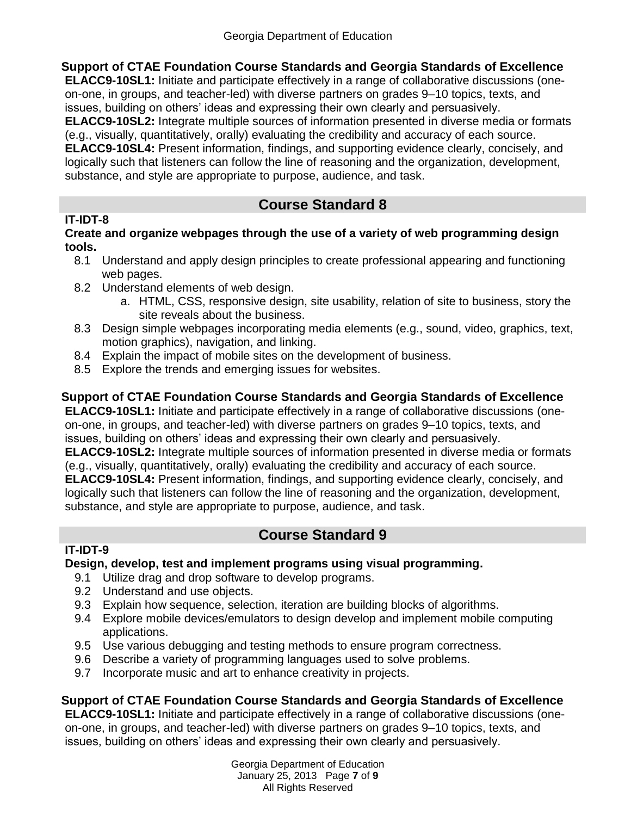**Support of CTAE Foundation Course Standards and Georgia Standards of Excellence**

**ELACC9-10SL1:** Initiate and participate effectively in a range of collaborative discussions (oneon-one, in groups, and teacher-led) with diverse partners on grades 9–10 topics, texts, and issues, building on others' ideas and expressing their own clearly and persuasively. **ELACC9-10SL2:** Integrate multiple sources of information presented in diverse media or formats (e.g., visually, quantitatively, orally) evaluating the credibility and accuracy of each source.

**ELACC9-10SL4:** Present information, findings, and supporting evidence clearly, concisely, and logically such that listeners can follow the line of reasoning and the organization, development, substance, and style are appropriate to purpose, audience, and task.

## **Course Standard 8**

### **IT-IDT-8**

**Create and organize webpages through the use of a variety of web programming design tools.**

- 8.1 Understand and apply design principles to create professional appearing and functioning web pages.
- 8.2 Understand elements of web design.
	- a. HTML, CSS, responsive design, site usability, relation of site to business, story the site reveals about the business.
- 8.3 Design simple webpages incorporating media elements (e.g., sound, video, graphics, text, motion graphics), navigation, and linking.
- 8.4 Explain the impact of mobile sites on the development of business.
- 8.5 Explore the trends and emerging issues for websites.

### **Support of CTAE Foundation Course Standards and Georgia Standards of Excellence**

**ELACC9-10SL1:** Initiate and participate effectively in a range of collaborative discussions (oneon-one, in groups, and teacher-led) with diverse partners on grades 9–10 topics, texts, and issues, building on others' ideas and expressing their own clearly and persuasively.

**ELACC9-10SL2:** Integrate multiple sources of information presented in diverse media or formats (e.g., visually, quantitatively, orally) evaluating the credibility and accuracy of each source. **ELACC9-10SL4:** Present information, findings, and supporting evidence clearly, concisely, and logically such that listeners can follow the line of reasoning and the organization, development,

substance, and style are appropriate to purpose, audience, and task.

# **Course Standard 9**

## **IT-IDT-9**

### **Design, develop, test and implement programs using visual programming.**

- 9.1 Utilize drag and drop software to develop programs.
- 9.2 Understand and use objects.
- 9.3 Explain how sequence, selection, iteration are building blocks of algorithms.
- 9.4 Explore mobile devices/emulators to design develop and implement mobile computing applications.
- 9.5 Use various debugging and testing methods to ensure program correctness.
- 9.6 Describe a variety of programming languages used to solve problems.
- 9.7 Incorporate music and art to enhance creativity in projects.

### **Support of CTAE Foundation Course Standards and Georgia Standards of Excellence**

**ELACC9-10SL1:** Initiate and participate effectively in a range of collaborative discussions (oneon-one, in groups, and teacher-led) with diverse partners on grades 9–10 topics, texts, and issues, building on others' ideas and expressing their own clearly and persuasively.

> Georgia Department of Education January 25, 2013 Page **7** of **9** All Rights Reserved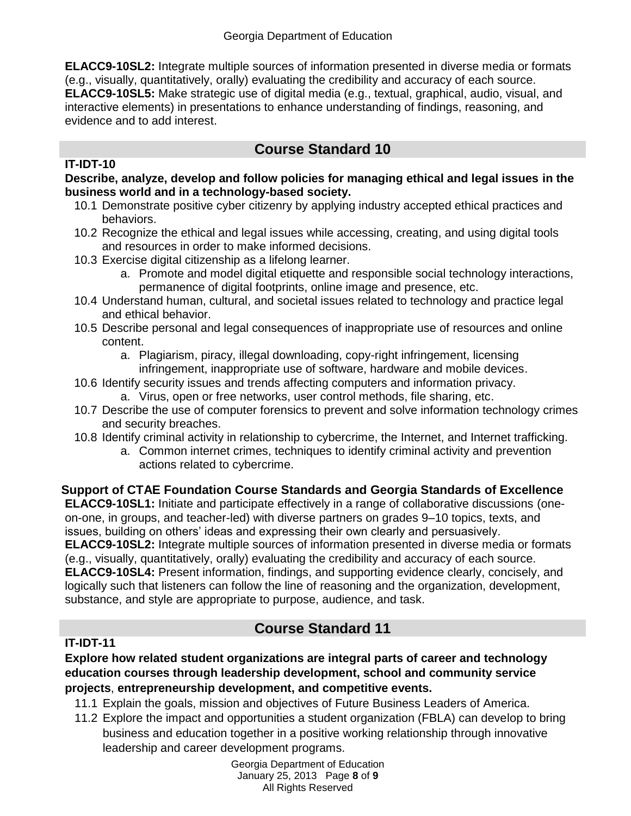**ELACC9-10SL2:** Integrate multiple sources of information presented in diverse media or formats (e.g., visually, quantitatively, orally) evaluating the credibility and accuracy of each source. **ELACC9-10SL5:** Make strategic use of digital media (e.g., textual, graphical, audio, visual, and interactive elements) in presentations to enhance understanding of findings, reasoning, and evidence and to add interest.

# **Course Standard 10**

#### **IT-IDT-10**

**Describe, analyze, develop and follow policies for managing ethical and legal issues in the business world and in a technology-based society.** 

- 10.1 Demonstrate positive cyber citizenry by applying industry accepted ethical practices and behaviors.
- 10.2 Recognize the ethical and legal issues while accessing, creating, and using digital tools and resources in order to make informed decisions.
- 10.3 Exercise digital citizenship as a lifelong learner.
	- a. Promote and model digital etiquette and responsible social technology interactions, permanence of digital footprints, online image and presence, etc.
- 10.4 Understand human, cultural, and societal issues related to technology and practice legal and ethical behavior.
- 10.5 Describe personal and legal consequences of inappropriate use of resources and online content.
	- a. Plagiarism, piracy, illegal downloading, copy-right infringement, licensing infringement, inappropriate use of software, hardware and mobile devices.
- 10.6 Identify security issues and trends affecting computers and information privacy.
	- a. Virus, open or free networks, user control methods, file sharing, etc.
- 10.7 Describe the use of computer forensics to prevent and solve information technology crimes and security breaches.
- 10.8 Identify criminal activity in relationship to cybercrime, the Internet, and Internet trafficking.
	- a. Common internet crimes, techniques to identify criminal activity and prevention actions related to cybercrime.

### **Support of CTAE Foundation Course Standards and Georgia Standards of Excellence**

**ELACC9-10SL1:** Initiate and participate effectively in a range of collaborative discussions (oneon-one, in groups, and teacher-led) with diverse partners on grades 9–10 topics, texts, and issues, building on others' ideas and expressing their own clearly and persuasively. **ELACC9-10SL2:** Integrate multiple sources of information presented in diverse media or formats (e.g., visually, quantitatively, orally) evaluating the credibility and accuracy of each source. **ELACC9-10SL4:** Present information, findings, and supporting evidence clearly, concisely, and logically such that listeners can follow the line of reasoning and the organization, development, substance, and style are appropriate to purpose, audience, and task.

## **Course Standard 11**

### **IT-IDT-11**

#### **Explore how related student organizations are integral parts of career and technology education courses through leadership development, school and community service projects**, **entrepreneurship development, and competitive events.**

- 11.1 Explain the goals, mission and objectives of Future Business Leaders of America.
- 11.2 Explore the impact and opportunities a student organization (FBLA) can develop to bring business and education together in a positive working relationship through innovative leadership and career development programs.

Georgia Department of Education January 25, 2013 Page **8** of **9** All Rights Reserved